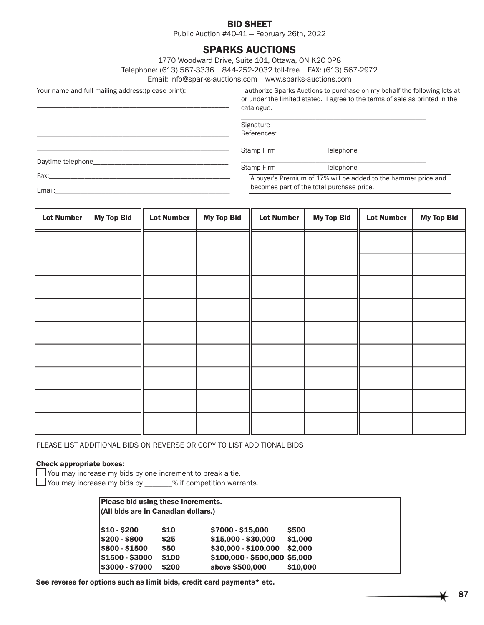## BID SHEET

Public Auction #40-41 — February 26th, 2022

# SPARKS AUCTIONS

1770 Woodward Drive, Suite 101, Ottawa, ON K2C 0P8

Telephone: (613) 567-3336 844-252-2032 toll-free FAX: (613) 567-2972

Email: info@sparks-auctions.com www.sparks-auctions.com

Your name and full mailing address:(please print):

\_\_\_\_\_\_\_\_\_\_\_\_\_\_\_\_\_\_\_\_\_\_\_\_\_\_\_\_\_\_\_\_\_\_\_\_\_\_\_\_\_\_\_\_\_\_\_\_\_\_\_\_\_\_

I authorize Sparks Auctions to purchase on my behalf the following lots at or under the limited stated. I agree to the terms of sale as printed in the catalogue.

| Signature<br>References: |                                                                                                             |
|--------------------------|-------------------------------------------------------------------------------------------------------------|
| Stamp Firm               | Telephone                                                                                                   |
|                          | Telephone                                                                                                   |
|                          | A buyer's Premium of 17% will be added to the hammer price and<br>becomes part of the total purchase price. |
|                          | Stamp Firm                                                                                                  |

| <b>Lot Number</b> | <b>My Top Bid</b> | <b>Lot Number</b> | <b>My Top Bid</b> | <b>Lot Number</b> | <b>My Top Bid</b> | <b>Lot Number</b> | <b>My Top Bid</b> |
|-------------------|-------------------|-------------------|-------------------|-------------------|-------------------|-------------------|-------------------|
|                   |                   |                   |                   |                   |                   |                   |                   |
|                   |                   |                   |                   |                   |                   |                   |                   |
|                   |                   |                   |                   |                   |                   |                   |                   |
|                   |                   |                   |                   |                   |                   |                   |                   |
|                   |                   |                   |                   |                   |                   |                   |                   |
|                   |                   |                   |                   |                   |                   |                   |                   |
|                   |                   |                   |                   |                   |                   |                   |                   |
|                   |                   |                   |                   |                   |                   |                   |                   |
|                   |                   |                   |                   |                   |                   |                   |                   |

PLEASE LIST ADDITIONAL BIDS ON REVERSE OR COPY TO LIST ADDITIONAL BIDS

## Check appropriate boxes:

 $\Box$  You may increase my bids by one increment to break a tie.

□ You may increase my bids by \_\_\_\_\_\_% if competition warrants.

| Please bid using these increments.<br>(All bids are in Canadian dollars.) |            |                              |          |  |
|---------------------------------------------------------------------------|------------|------------------------------|----------|--|
| $$10 - $200$                                                              | <b>S10</b> | \$7000 - \$15,000            | \$500    |  |
| \$200 - \$800                                                             | \$25       | $$15,000 - $30,000$          | \$1,000  |  |
| \$800 - \$1500                                                            | <b>S50</b> | \$30,000 - \$100,000         | \$2,000  |  |
| \$1500 - \$3000                                                           | \$100      | $$100,000 - $500,000 $5,000$ |          |  |
| \$3000 - \$7000                                                           | \$200      | above \$500,000              | \$10,000 |  |

See reverse for options such as limit bids, credit card payments\* etc.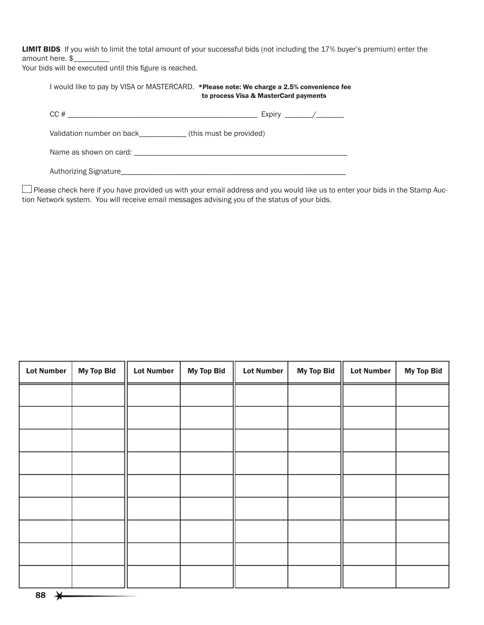LIMIT BIDS If you wish to limit the total amount of your successful bids (not including the 17% buyer's premium) enter the amount here. \$

Your bids will be executed until this figure is reached.

| I would like to pay by VISA or MASTERCARD. *Please note: We charge a 2.5% convenience fee | to process Visa & MasterCard payments |
|-------------------------------------------------------------------------------------------|---------------------------------------|
|                                                                                           |                                       |
| Validation number on back (this must be provided)                                         |                                       |
|                                                                                           |                                       |
|                                                                                           |                                       |

Please check here if you have provided us with your email address and you would like us to enter your bids in the Stamp Auction Network system. You will receive email messages advising you of the status of your bids.

| <b>Lot Number</b> | <b>My Top Bid</b> | <b>Lot Number</b> | <b>My Top Bid</b> | <b>Lot Number</b> | <b>My Top Bid</b> | <b>Lot Number</b> | <b>My Top Bid</b> |
|-------------------|-------------------|-------------------|-------------------|-------------------|-------------------|-------------------|-------------------|
|                   |                   |                   |                   |                   |                   |                   |                   |
|                   |                   |                   |                   |                   |                   |                   |                   |
|                   |                   |                   |                   |                   |                   |                   |                   |
|                   |                   |                   |                   |                   |                   |                   |                   |
|                   |                   |                   |                   |                   |                   |                   |                   |
|                   |                   |                   |                   |                   |                   |                   |                   |
|                   |                   |                   |                   |                   |                   |                   |                   |
|                   |                   |                   |                   |                   |                   |                   |                   |
|                   |                   |                   |                   |                   |                   |                   |                   |
|                   |                   |                   |                   |                   |                   |                   |                   |

88  $\rightarrow$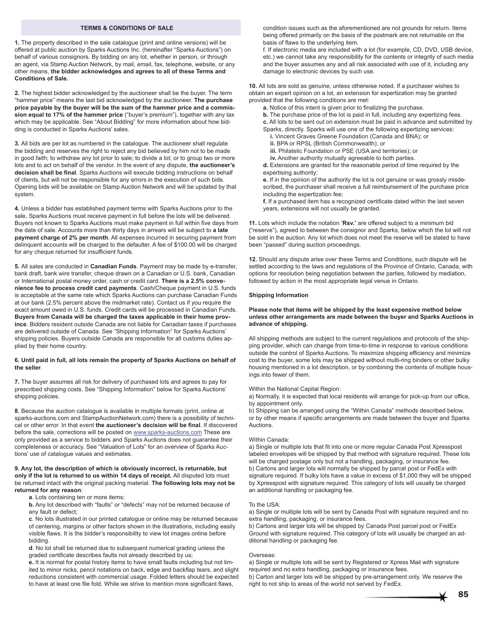### **TERMS & CONDITIONS OF SALE**

**1.** The property described in the sale catalogue (print and online versions) will be offered at public auction by Sparks Auctions Inc. (hereinafter "Sparks Auctions") on behalf of various consignors. By bidding on any lot, whether in person, or through an agent, via Stamp Auction Network, by mail, email, fax, telephone, website, or any other means, **the bidder acknowledges and agrees to all of these Terms and Conditions of Sale.**

**2.** The highest bidder acknowledged by the auctioneer shall be the buyer. The term "hammer price" means the last bid acknowledged by the auctioneer. **The purchase price payable by the buyer will be the sum of the hammer price and a commission equal to 17% of the hammer price** ("buyer's premium"), together with any tax which may be applicable. See "About Bidding" for more information about how bidding is conducted in Sparks Auctions' sales.

**3.** All bids are per lot as numbered in the catalogue. The auctioneer shall regulate the bidding and reserves the right to reject any bid believed by him not to be made in good faith; to withdraw any lot prior to sale; to divide a lot; or to group two or more lots and to act on behalf of the vendor. In the event of any dispute, **the auctioneer's**  decision shall be final. Sparks Auctions will execute bidding instructions on behalf of clients, but will not be responsible for any errors in the execution of such bids. Opening bids will be available on Stamp Auction Network and will be updated by that system.

**4.** Unless a bidder has established payment terms with Sparks Auctions prior to the sale, Sparks Auctions must receive payment in full before the lots will be delivered. Buyers not known to Sparks Auctions must make payment in full within five days from the date of sale. Accounts more than thirty days in arrears will be subject to **a late payment charge of 2% per month**. All expenses incurred in securing payment from delinquent accounts will be charged to the defaulter. A fee of \$100.00 will be charged for any cheque returned for insufficient funds.

**5.** All sales are conducted in **Canadian Funds**. Payment may be made by e-transfer, bank draft, bank wire transfer, cheque drawn on a Canadian or U.S. bank, Canadian or International postal money order, cash or credit card. **There is a 2.5% convenience fee to process credit card payments**. Cash/Cheque payment in U.S. funds is acceptable at the same rate which Sparks Auctions can purchase Canadian Funds at our bank (2.5% percent above the midmarket rate). Contact us if you require the exact amount owed in U.S. funds. Credit cards will be processed in Canadian Funds. **Buyers from Canada will be charged the taxes applicable in their home province**. Bidders resident outside Canada are not liable for Canadian taxes if purchases are delivered outside of Canada. See "Shipping Information" for Sparks Auctions' shipping policies. Buyers outside Canada are responsible for all customs duties applied by their home country.

### **6. Until paid in full, all lots remain the property of Sparks Auctions on behalf of the seller**.

**7.** The buyer assumes all risk for delivery of purchased lots and agrees to pay for prescribed shipping costs. See "Shipping Information" below for Sparks Auctions' shipping policies.

**8.** Because the auction catalogue is available in multiple formats (print, online at sparks-auctions.com and StampAuctionNetwork.com) there is a possibility of technical or other error. In that event the auctioneer's decision will be final. If discovered before the sale, corrections will be posted on www.sparks-auctions.com These are only provided as a service to bidders and Sparks Auctions does not guarantee their completeness or accuracy. See "Valuation of Lots" for an overview of Sparks Auctions' use of catalogue values and estimates.

**9. Any lot, the description of which is obviously incorrect, is returnable, but only if the lot is returned to us within 14 days of receipt.** All disputed lots must be returned intact with the original packing material. **The following lots may not be returned for any reason**:

**a**. Lots containing ten or more items;

**b.** Any lot described with "faults" or "defects" may not be returned because of any fault or defect;

**c**. No lots illustrated in our printed catalogue or online may be returned because of centering, margins or other factors shown in the illustrations, including easily visible flaws. It is the bidder's responsibility to view lot images online before bidding.

**d**. No lot shall be returned due to subsequent numerical grading unless the graded certificate describes faults not already described by us;

**e.** It is normal for postal history items to have small faults including but not limited to minor nicks, pencil notations on back, edge and backflap tears, and slight reductions consistent with commercial usage. Folded letters should be expected to have at least one file fold. While we strive to mention more significant flaws,

condition issues such as the aforementioned are not grounds for return. Items being offered primarily on the basis of the postmark are not returnable on the basis of flaws to the underlying item.

f. If electronic media are included with a lot (for example, CD, DVD, USB device, etc.) we cannot take any responsibility for the contents or integrity of such media and the buyer assumes any and all risk associated with use of it, including any damage to electronic devices by such use.

**10.** All lots are sold as genuine, unless otherwise noted. If a purchaser wishes to obtain an expert opinion on a lot, an extension for expertization may be granted provided that the following conditions are met:

**a.** Notice of this intent is given prior to finalizing the purchase.

**b.** The purchase price of the lot is paid in full, including any expertizing fees.

- **c.** All lots to be sent out on extension must be paid in advance and submitted by Sparks, directly. Sparks will use one of the following expertizing services:
	- **i.** Vincent Graves Greene Foundation (Canada and BNA); or
	- **ii.** BPA or RPSL (British Commonwealth); or
	- **iii.** Philatelic Foundation or PSE (USA and territories); or
	- **iv.** Another authority mutually agreeable to both parties.

**d.** Extensions are granted for the reasonable period of time required by the expertising authority;

**e.** If in the opinion of the authority the lot is not genuine or was grossly misdescribed, the purchaser shall receive a full reimbursement of the purchase price including the expertization fee;

**f.** If a purchased item has a recognized certificate dated within the last seven years, extensions will not usually be granted.

**11.** Lots which include the notation 'Rsv.' are offered subject to a minimum bid ("reserve"), agreed to between the consignor and Sparks, below which the lot will not be sold in the auction. Any lot which does not meet the reserve will be stated to have been "passed" during auction proceedings.

**12.** Should any dispute arise over these Terms and Conditions, such dispute will be settled according to the laws and regulations of the Province of Ontario, Canada, with options for resolution being negotiation between the parties, followed by mediation, followed by action in the most appropriate legal venue in Ontario.

#### **Shipping Information**

#### **Please note that items will be shipped by the least expensive method below unless other arrangements are made between the buyer and Sparks Auctions in advance of shipping.**

All shipping methods are subject to the current regulations and protocols of the shipping provider, which can change from time-to-time in response to various conditions outside the control of Sparks Auctions. To maximize shipping efficiency and minimize cost to the buyer, some lots may be shipped without multi-ring binders or other bulky housing mentioned in a lot description, or by combining the contents of multiple housings into fewer of them.

#### Within the National Capital Region:

a) Normally, it is expected that local residents will arrange for pick-up from our office, by appointment only.

b) Shipping can be arranged using the "Within Canada" methods described below, or by other means if specific arrangements are made between the buyer and Sparks Auctions.

#### Within Canada:

a) Single or multiple lots that fit into one or more regular Canada Post Xpresspost labeled envelopes will be shipped by that method with signature required. These lots will be charged postage only but not a handling, packaging, or insurance fee. b) Cartons and larger lots will normally be shipped by parcel post or FedEx with signature required. If bulky lots have a value in excess of \$1,000 they will be shipped by Xpresspost with signature required. This category of lots will usually be charged an additional handling or packaging fee.

#### To the USA:

a) Single or multiple lots will be sent by Canada Post with signature required and no extra handling, packaging, or insurance fees.

b) Cartons and larger lots will be shipped by Canada Post parcel post or FedEx Ground with signature required. This category of lots will usually be charged an additional handling or packaging fee.

#### Overseas:

a) Single or multiple lots will be sent by Registered or Xpress Mail with signature required and no extra handling, packaging or insurance fees. b) Carton and larger lots will be shipped by pre-arrangement only. We reserve the right to not ship to areas of the world not served by FedEx.